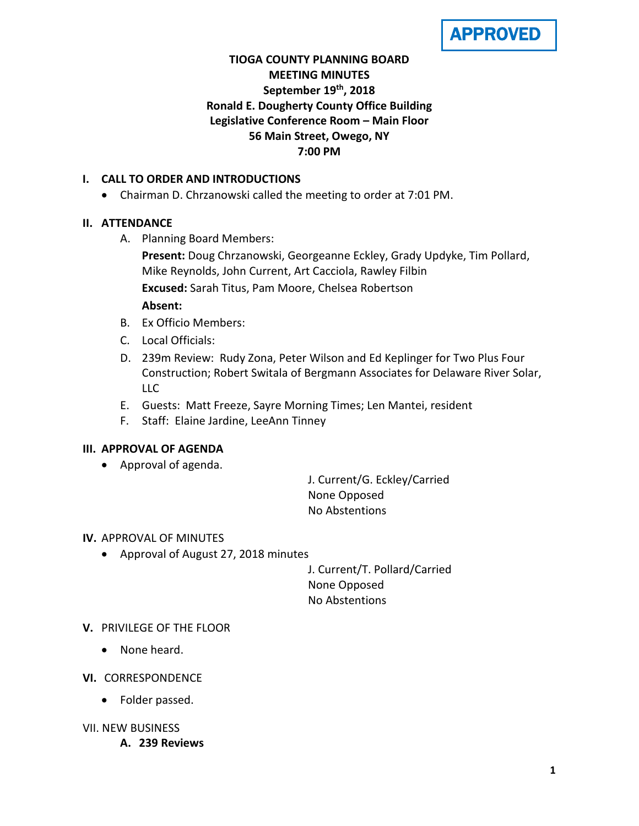

## **TIOGA COUNTY PLANNING BOARD MEETING MINUTES September 19th, 2018 Ronald E. Dougherty County Office Building Legislative Conference Room – Main Floor 56 Main Street, Owego, NY 7:00 PM**

## **I. CALL TO ORDER AND INTRODUCTIONS**

• Chairman D. Chrzanowski called the meeting to order at 7:01 PM.

## **II. ATTENDANCE**

A. Planning Board Members:

**Present:** Doug Chrzanowski, Georgeanne Eckley, Grady Updyke, Tim Pollard, Mike Reynolds, John Current, Art Cacciola, Rawley Filbin **Excused:** Sarah Titus, Pam Moore, Chelsea Robertson **Absent:**

- B. Ex Officio Members:
- C. Local Officials:
- D. 239m Review: Rudy Zona, Peter Wilson and Ed Keplinger for Two Plus Four Construction; Robert Switala of Bergmann Associates for Delaware River Solar, LLC
- E. Guests: Matt Freeze, Sayre Morning Times; Len Mantei, resident
- F. Staff: Elaine Jardine, LeeAnn Tinney

## **III. APPROVAL OF AGENDA**

• Approval of agenda.

J. Current/G. Eckley/Carried None Opposed No Abstentions

## **IV.** APPROVAL OF MINUTES

• Approval of August 27, 2018 minutes

J. Current/T. Pollard/Carried None Opposed No Abstentions

## **V.** PRIVILEGE OF THE FLOOR

- None heard.
- **VI.** CORRESPONDENCE
	- Folder passed.

## VII. NEW BUSINESS

**A. 239 Reviews**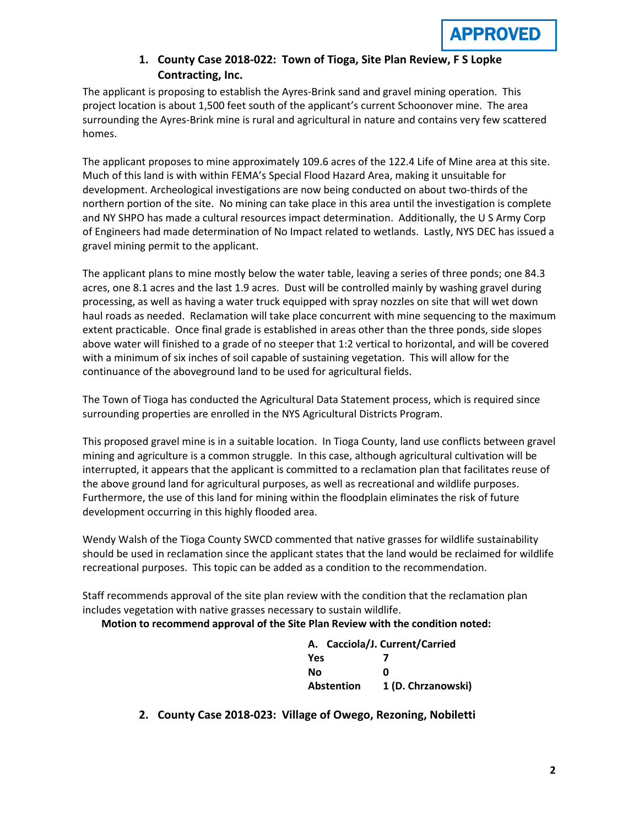## **1. County Case 2018-022: Town of Tioga, Site Plan Review, F S Lopke Contracting, Inc.**

The applicant is proposing to establish the Ayres-Brink sand and gravel mining operation. This project location is about 1,500 feet south of the applicant's current Schoonover mine. The area surrounding the Ayres-Brink mine is rural and agricultural in nature and contains very few scattered homes.

The applicant proposes to mine approximately 109.6 acres of the 122.4 Life of Mine area at this site. Much of this land is with within FEMA's Special Flood Hazard Area, making it unsuitable for development. Archeological investigations are now being conducted on about two-thirds of the northern portion of the site. No mining can take place in this area until the investigation is complete and NY SHPO has made a cultural resources impact determination. Additionally, the U S Army Corp of Engineers had made determination of No Impact related to wetlands. Lastly, NYS DEC has issued a gravel mining permit to the applicant.

The applicant plans to mine mostly below the water table, leaving a series of three ponds; one 84.3 acres, one 8.1 acres and the last 1.9 acres. Dust will be controlled mainly by washing gravel during processing, as well as having a water truck equipped with spray nozzles on site that will wet down haul roads as needed. Reclamation will take place concurrent with mine sequencing to the maximum extent practicable. Once final grade is established in areas other than the three ponds, side slopes above water will finished to a grade of no steeper that 1:2 vertical to horizontal, and will be covered with a minimum of six inches of soil capable of sustaining vegetation. This will allow for the continuance of the aboveground land to be used for agricultural fields.

The Town of Tioga has conducted the Agricultural Data Statement process, which is required since surrounding properties are enrolled in the NYS Agricultural Districts Program.

This proposed gravel mine is in a suitable location. In Tioga County, land use conflicts between gravel mining and agriculture is a common struggle. In this case, although agricultural cultivation will be interrupted, it appears that the applicant is committed to a reclamation plan that facilitates reuse of the above ground land for agricultural purposes, as well as recreational and wildlife purposes. Furthermore, the use of this land for mining within the floodplain eliminates the risk of future development occurring in this highly flooded area.

Wendy Walsh of the Tioga County SWCD commented that native grasses for wildlife sustainability should be used in reclamation since the applicant states that the land would be reclaimed for wildlife recreational purposes. This topic can be added as a condition to the recommendation.

Staff recommends approval of the site plan review with the condition that the reclamation plan includes vegetation with native grasses necessary to sustain wildlife.

**Motion to recommend approval of the Site Plan Review with the condition noted:**

|            | A. Cacciola/J. Current/Carried   |
|------------|----------------------------------|
| <b>Yes</b> |                                  |
| Nο         | n                                |
|            | 1 (D. Chrzanowski)<br>Abstention |

**2. County Case 2018-023: Village of Owego, Rezoning, Nobiletti**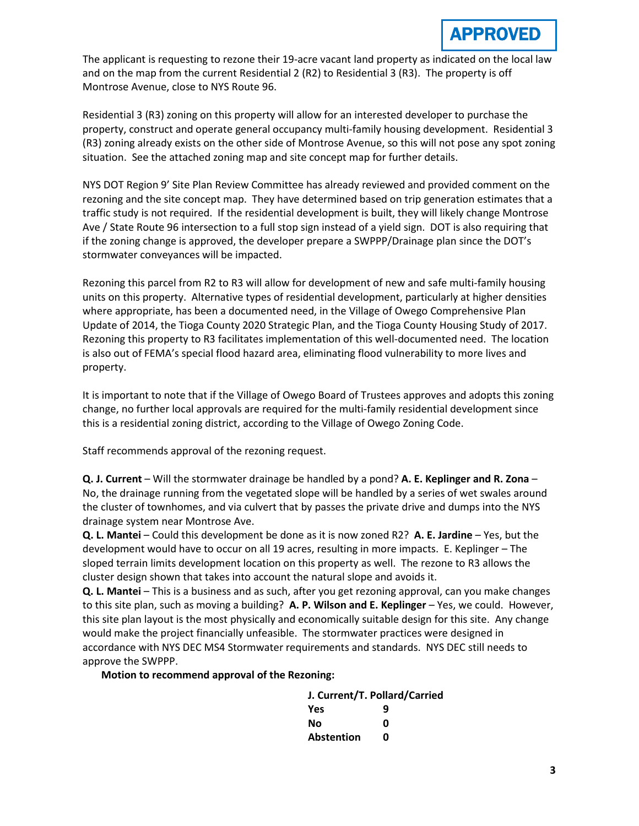The applicant is requesting to rezone their 19-acre vacant land property as indicated on the local law and on the map from the current Residential 2 (R2) to Residential 3 (R3). The property is off Montrose Avenue, close to NYS Route 96.

Residential 3 (R3) zoning on this property will allow for an interested developer to purchase the property, construct and operate general occupancy multi-family housing development. Residential 3 (R3) zoning already exists on the other side of Montrose Avenue, so this will not pose any spot zoning situation. See the attached zoning map and site concept map for further details.

NYS DOT Region 9' Site Plan Review Committee has already reviewed and provided comment on the rezoning and the site concept map. They have determined based on trip generation estimates that a traffic study is not required. If the residential development is built, they will likely change Montrose Ave / State Route 96 intersection to a full stop sign instead of a yield sign. DOT is also requiring that if the zoning change is approved, the developer prepare a SWPPP/Drainage plan since the DOT's stormwater conveyances will be impacted.

Rezoning this parcel from R2 to R3 will allow for development of new and safe multi-family housing units on this property. Alternative types of residential development, particularly at higher densities where appropriate, has been a documented need, in the Village of Owego Comprehensive Plan Update of 2014, the Tioga County 2020 Strategic Plan, and the Tioga County Housing Study of 2017. Rezoning this property to R3 facilitates implementation of this well-documented need. The location is also out of FEMA's special flood hazard area, eliminating flood vulnerability to more lives and property.

It is important to note that if the Village of Owego Board of Trustees approves and adopts this zoning change, no further local approvals are required for the multi-family residential development since this is a residential zoning district, according to the Village of Owego Zoning Code.

Staff recommends approval of the rezoning request.

**Q. J. Current** – Will the stormwater drainage be handled by a pond? **A. E. Keplinger and R. Zona** – No, the drainage running from the vegetated slope will be handled by a series of wet swales around the cluster of townhomes, and via culvert that by passes the private drive and dumps into the NYS drainage system near Montrose Ave.

**Q. L. Mantei** – Could this development be done as it is now zoned R2? **A. E. Jardine** – Yes, but the development would have to occur on all 19 acres, resulting in more impacts. E. Keplinger – The sloped terrain limits development location on this property as well. The rezone to R3 allows the cluster design shown that takes into account the natural slope and avoids it.

**Q. L. Mantei** – This is a business and as such, after you get rezoning approval, can you make changes to this site plan, such as moving a building? **A. P. Wilson and E. Keplinger** – Yes, we could. However, this site plan layout is the most physically and economically suitable design for this site. Any change would make the project financially unfeasible. The stormwater practices were designed in accordance with NYS DEC MS4 Stormwater requirements and standards. NYS DEC still needs to approve the SWPPP.

**Motion to recommend approval of the Rezoning:**

| J. Current/T. Pollard/Carried |   |  |  |
|-------------------------------|---|--|--|
| <b>Yes</b>                    | q |  |  |
| Nο                            | Ω |  |  |
| <b>Abstention</b>             | n |  |  |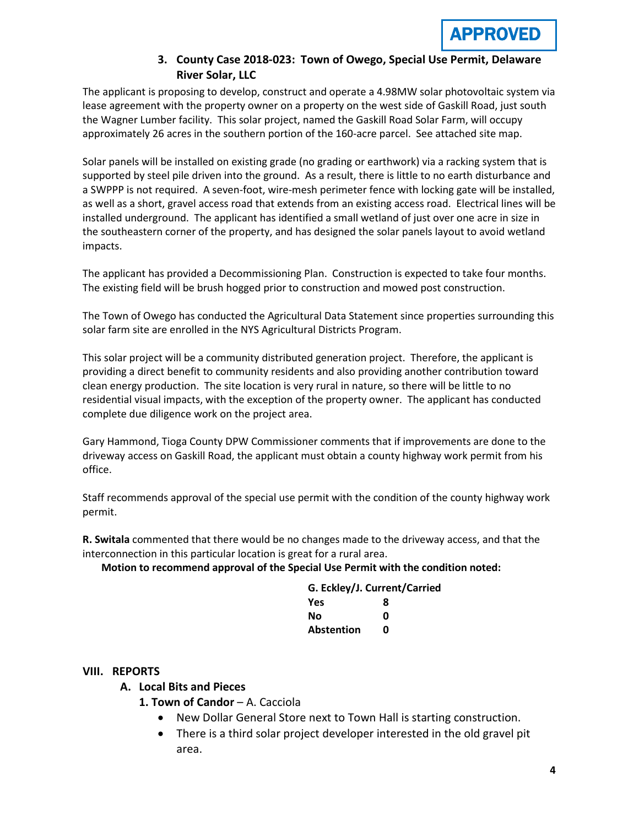

## **3. County Case 2018-023: Town of Owego, Special Use Permit, Delaware River Solar, LLC**

The applicant is proposing to develop, construct and operate a 4.98MW solar photovoltaic system via lease agreement with the property owner on a property on the west side of Gaskill Road, just south the Wagner Lumber facility. This solar project, named the Gaskill Road Solar Farm, will occupy approximately 26 acres in the southern portion of the 160-acre parcel. See attached site map.

Solar panels will be installed on existing grade (no grading or earthwork) via a racking system that is supported by steel pile driven into the ground. As a result, there is little to no earth disturbance and a SWPPP is not required. A seven-foot, wire-mesh perimeter fence with locking gate will be installed, as well as a short, gravel access road that extends from an existing access road. Electrical lines will be installed underground. The applicant has identified a small wetland of just over one acre in size in the southeastern corner of the property, and has designed the solar panels layout to avoid wetland impacts.

The applicant has provided a Decommissioning Plan. Construction is expected to take four months. The existing field will be brush hogged prior to construction and mowed post construction.

The Town of Owego has conducted the Agricultural Data Statement since properties surrounding this solar farm site are enrolled in the NYS Agricultural Districts Program.

This solar project will be a community distributed generation project. Therefore, the applicant is providing a direct benefit to community residents and also providing another contribution toward clean energy production. The site location is very rural in nature, so there will be little to no residential visual impacts, with the exception of the property owner. The applicant has conducted complete due diligence work on the project area.

Gary Hammond, Tioga County DPW Commissioner comments that if improvements are done to the driveway access on Gaskill Road, the applicant must obtain a county highway work permit from his office.

Staff recommends approval of the special use permit with the condition of the county highway work permit.

**R. Switala** commented that there would be no changes made to the driveway access, and that the interconnection in this particular location is great for a rural area.

**Motion to recommend approval of the Special Use Permit with the condition noted:**

| G. Eckley/J. Current/Carried |   |  |  |
|------------------------------|---|--|--|
| <b>Yes</b>                   | 8 |  |  |
| Νo                           | n |  |  |
| Abstention                   | n |  |  |

## **VIII. REPORTS**

## **A. Local Bits and Pieces**

- **1. Town of Candor**  A. Cacciola
	- New Dollar General Store next to Town Hall is starting construction.
	- There is a third solar project developer interested in the old gravel pit area.